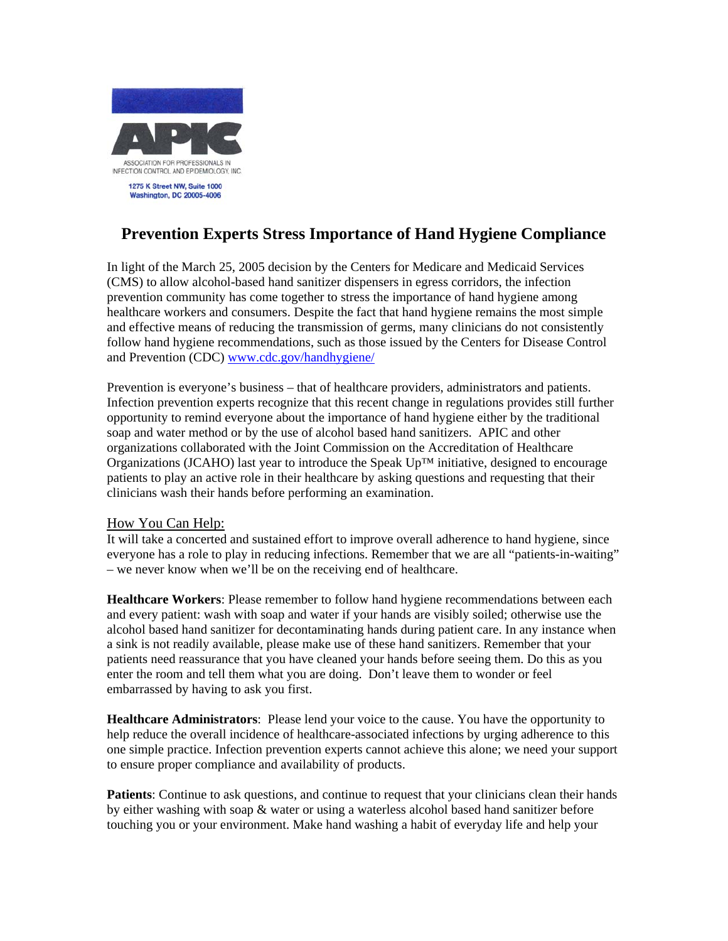

## **Prevention Experts Stress Importance of Hand Hygiene Compliance**

In light of the March 25, 2005 decision by the Centers for Medicare and Medicaid Services (CMS) to allow alcohol-based hand sanitizer dispensers in egress corridors, the infection prevention community has come together to stress the importance of hand hygiene among healthcare workers and consumers. Despite the fact that hand hygiene remains the most simple and effective means of reducing the transmission of germs, many clinicians do not consistently follow hand hygiene recommendations, such as those issued by the Centers for Disease Control and Prevention (CDC) www.cdc.gov/handhygiene/

Prevention is everyone's business – that of healthcare providers, administrators and patients. Infection prevention experts recognize that this recent change in regulations provides still further opportunity to remind everyone about the importance of hand hygiene either by the traditional soap and water method or by the use of alcohol based hand sanitizers. APIC and other organizations collaborated with the Joint Commission on the Accreditation of Healthcare Organizations (JCAHO) last year to introduce the Speak Up™ initiative, designed to encourage patients to play an active role in their healthcare by asking questions and requesting that their clinicians wash their hands before performing an examination.

## How You Can Help:

It will take a concerted and sustained effort to improve overall adherence to hand hygiene, since everyone has a role to play in reducing infections. Remember that we are all "patients-in-waiting" – we never know when we'll be on the receiving end of healthcare.

**Healthcare Workers**: Please remember to follow hand hygiene recommendations between each and every patient: wash with soap and water if your hands are visibly soiled; otherwise use the alcohol based hand sanitizer for decontaminating hands during patient care. In any instance when a sink is not readily available, please make use of these hand sanitizers. Remember that your patients need reassurance that you have cleaned your hands before seeing them. Do this as you enter the room and tell them what you are doing. Don't leave them to wonder or feel embarrassed by having to ask you first.

**Healthcare Administrators**: Please lend your voice to the cause. You have the opportunity to help reduce the overall incidence of healthcare-associated infections by urging adherence to this one simple practice. Infection prevention experts cannot achieve this alone; we need your support to ensure proper compliance and availability of products.

**Patients**: Continue to ask questions, and continue to request that your clinicians clean their hands by either washing with soap & water or using a waterless alcohol based hand sanitizer before touching you or your environment. Make hand washing a habit of everyday life and help your